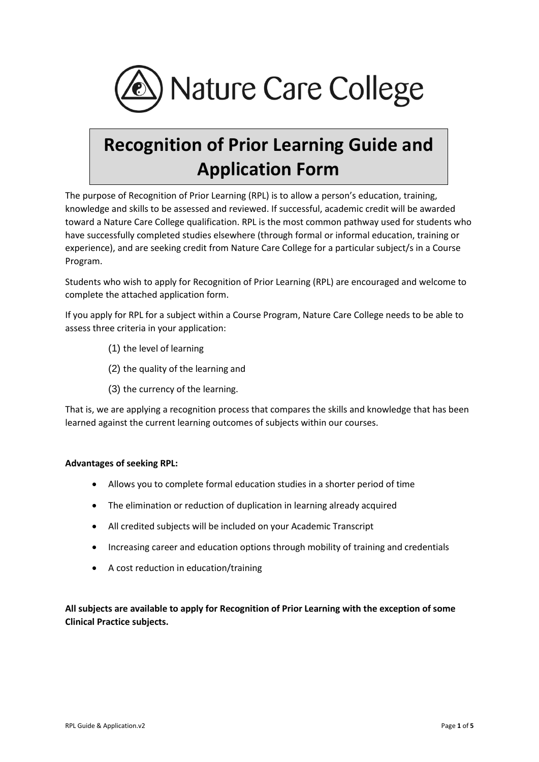

# **Recognition of Prior Learning Guide and Application Form**

The purpose of Recognition of Prior Learning (RPL) is to allow a person's education, training, knowledge and skills to be assessed and reviewed. If successful, academic credit will be awarded toward a Nature Care College qualification. RPL is the most common pathway used for students who have successfully completed studies elsewhere (through formal or informal education, training or experience), and are seeking credit from Nature Care College for a particular subject/s in a Course Program.

Students who wish to apply for Recognition of Prior Learning (RPL) are encouraged and welcome to complete the attached application form.

If you apply for RPL for a subject within a Course Program, Nature Care College needs to be able to assess three criteria in your application:

- (1) the level of learning
- (2) the quality of the learning and
- (3) the currency of the learning.

That is, we are applying a recognition process that compares the skills and knowledge that has been learned against the current learning outcomes of subjects within our courses.

#### **Advantages of seeking RPL:**

- Allows you to complete formal education studies in a shorter period of time
- The elimination or reduction of duplication in learning already acquired
- All credited subjects will be included on your Academic Transcript
- Increasing career and education options through mobility of training and credentials
- A cost reduction in education/training

**All subjects are available to apply for Recognition of Prior Learning with the exception of some Clinical Practice subjects.**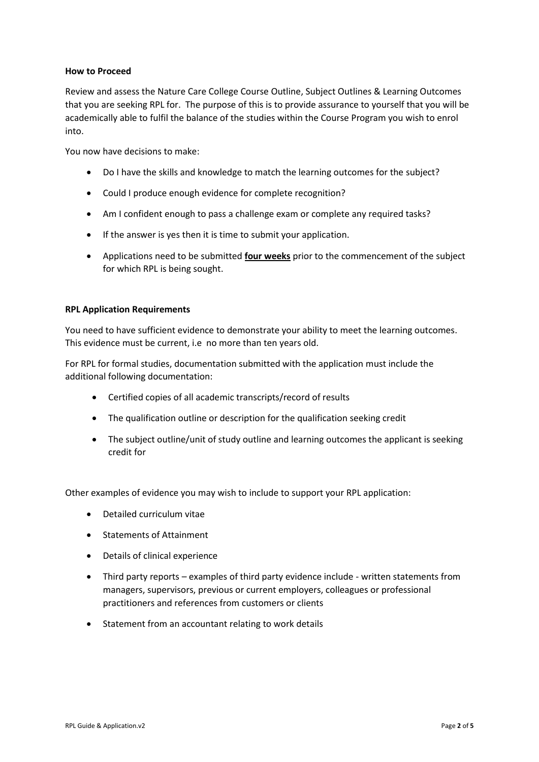#### **How to Proceed**

Review and assess the Nature Care College Course Outline, Subject Outlines & Learning Outcomes that you are seeking RPL for. The purpose of this is to provide assurance to yourself that you will be academically able to fulfil the balance of the studies within the Course Program you wish to enrol into.

You now have decisions to make:

- Do I have the skills and knowledge to match the learning outcomes for the subject?
- Could I produce enough evidence for complete recognition?
- Am I confident enough to pass a challenge exam or complete any required tasks?
- If the answer is yes then it is time to submit your application.
- Applications need to be submitted **four weeks** prior to the commencement of the subject for which RPL is being sought.

#### **RPL Application Requirements**

You need to have sufficient evidence to demonstrate your ability to meet the learning outcomes. This evidence must be current, i.e no more than ten years old.

For RPL for formal studies, documentation submitted with the application must include the additional following documentation:

- Certified copies of all academic transcripts/record of results
- The qualification outline or description for the qualification seeking credit
- The subject outline/unit of study outline and learning outcomes the applicant is seeking credit for

Other examples of evidence you may wish to include to support your RPL application:

- Detailed curriculum vitae
- Statements of Attainment
- Details of clinical experience
- Third party reports examples of third party evidence include written statements from managers, supervisors, previous or current employers, colleagues or professional practitioners and references from customers or clients
- Statement from an accountant relating to work details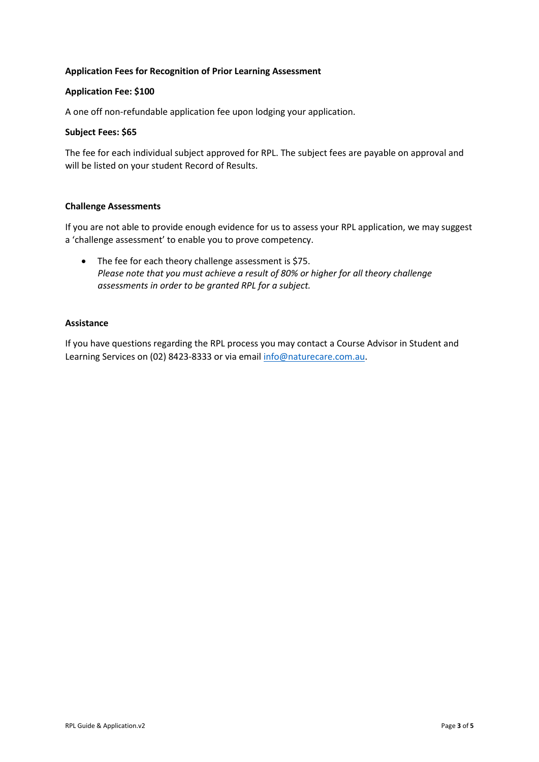### **Application Fees for Recognition of Prior Learning Assessment**

#### **Application Fee: \$100**

A one off non-refundable application fee upon lodging your application.

#### **Subject Fees: \$65**

The fee for each individual subject approved for RPL. The subject fees are payable on approval and will be listed on your student Record of Results.

#### **Challenge Assessments**

If you are not able to provide enough evidence for us to assess your RPL application, we may suggest a 'challenge assessment' to enable you to prove competency.

• The fee for each theory challenge assessment is \$75. *Please note that you must achieve a result of 80% or higher for all theory challenge assessments in order to be granted RPL for a subject.*

## **Assistance**

If you have questions regarding the RPL process you may contact a Course Advisor in Student and Learning Services on (02) 8423-8333 or via email [info@naturecare.com.au.](mailto:info@naturecare.com.au)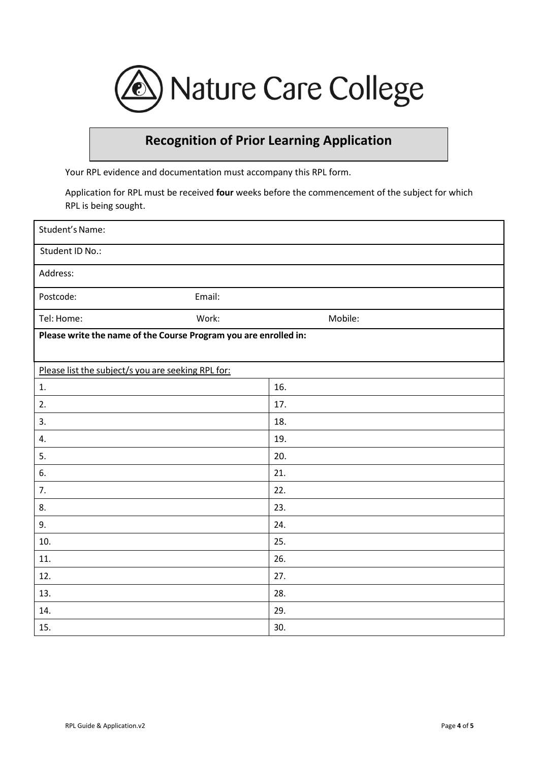

# **Recognition of Prior Learning Application**

Your RPL evidence and documentation must accompany this RPL form.

Application for RPL must be received **four** weeks before the commencement of the subject for which RPL is being sought.

| Student's Name:                                                  |        |         |
|------------------------------------------------------------------|--------|---------|
| Student ID No.:                                                  |        |         |
| Address:                                                         |        |         |
| Postcode:                                                        | Email: |         |
| Tel: Home:                                                       | Work:  | Mobile: |
| Please write the name of the Course Program you are enrolled in: |        |         |
|                                                                  |        |         |
| Please list the subject/s you are seeking RPL for:               |        |         |
| 1.                                                               |        | 16.     |
| 2.                                                               |        | 17.     |
| 3.                                                               |        | 18.     |
| 4.                                                               |        | 19.     |
| 5.                                                               |        | 20.     |
| 6.                                                               |        | 21.     |
| 7.                                                               |        | 22.     |
| 8.                                                               |        | 23.     |
| 9.                                                               |        | 24.     |
| 10.                                                              |        | 25.     |
| 11.                                                              |        | 26.     |
| 12.                                                              |        | 27.     |
| 13.                                                              |        | 28.     |
| 14.                                                              |        | 29.     |
| 15.                                                              |        | 30.     |